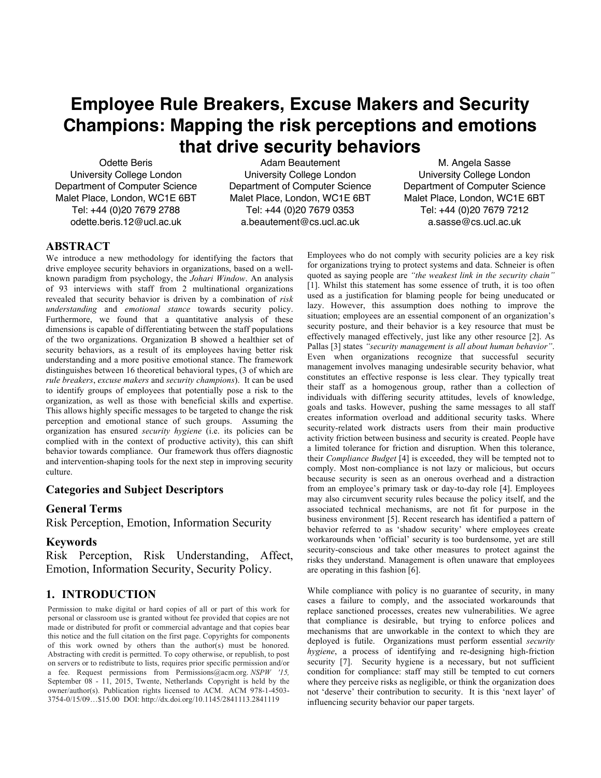# **Employee Rule Breakers, Excuse Makers and Security Champions: Mapping the risk perceptions and emotions that drive security behaviors**

Odette Beris University College London Department of Computer Science Malet Place, London, WC1E 6BT Tel: +44 (0)20 7679 2788 odette.beris.12@ucl.ac.uk

Adam Beautement University College London Department of Computer Science Malet Place, London, WC1E 6BT Tel: +44 (0)20 7679 0353 a.beautement@cs.ucl.ac.uk

M. Angela Sasse University College London Department of Computer Science Malet Place, London, WC1E 6BT Tel: +44 (0)20 7679 7212 a.sasse@cs.ucl.ac.uk

# **ABSTRACT**

We introduce a new methodology for identifying the factors that drive employee security behaviors in organizations, based on a wellknown paradigm from psychology, the *Johari Window*. An analysis of 93 interviews with staff from 2 multinational organizations revealed that security behavior is driven by a combination of *risk understanding* and *emotional stance* towards security policy. Furthermore, we found that a quantitative analysis of these dimensions is capable of differentiating between the staff populations of the two organizations. Organization B showed a healthier set of security behaviors, as a result of its employees having better risk understanding and a more positive emotional stance. The framework distinguishes between 16 theoretical behavioral types, (3 of which are *rule breakers*, *excuse makers* and *security champions*). It can be used to identify groups of employees that potentially pose a risk to the organization, as well as those with beneficial skills and expertise. This allows highly specific messages to be targeted to change the risk perception and emotional stance of such groups. Assuming the organization has ensured *security hygiene* (i.e. its policies can be complied with in the context of productive activity), this can shift behavior towards compliance. Our framework thus offers diagnostic and intervention-shaping tools for the next step in improving security culture.

# **Categories and Subject Descriptors**

# **General Terms**

Risk Perception, Emotion, Information Security

# **Keywords**

Risk Perception, Risk Understanding, Affect, Emotion, Information Security, Security Policy.

# **1. INTRODUCTION**

Permission to make digital or hard copies of all or part of this work for personal or classroom use is granted without fee provided that copies are not made or distributed for profit or commercial advantage and that copies bear this notice and the full citation on the first page. Copyrights for components of this work owned by others than the author(s) must be honored. Abstracting with credit is permitted. To copy otherwise, or republish, to post on servers or to redistribute to lists, requires prior specific permission and/or a fee. Request permissions from Permissions@acm.org. *NSPW '15,* September 08 - 11, 2015, Twente, Netherlands Copyright is held by the owner/author(s). Publication rights licensed to ACM. ACM 978-1-4503- 3754-0/15/09…\$15.00 DOI: http://dx.doi.org/10.1145/2841113.2841119

Employees who do not comply with security policies are a key risk for organizations trying to protect systems and data. Schneier is often quoted as saying people are *"the weakest link in the security chain"* [1]. Whilst this statement has some essence of truth, it is too often used as a justification for blaming people for being uneducated or lazy. However, this assumption does nothing to improve the situation; employees are an essential component of an organization's security posture, and their behavior is a key resource that must be effectively managed effectively, just like any other resource [2]. As Pallas [3] states *"security management is all about human behavior"*. Even when organizations recognize that successful security management involves managing undesirable security behavior, what constitutes an effective response is less clear. They typically treat their staff as a homogenous group, rather than a collection of individuals with differing security attitudes, levels of knowledge, goals and tasks. However, pushing the same messages to all staff creates information overload and additional security tasks. Where security-related work distracts users from their main productive activity friction between business and security is created. People have a limited tolerance for friction and disruption. When this tolerance, their *Compliance Budget* [4] is exceeded, they will be tempted not to comply. Most non-compliance is not lazy or malicious, but occurs because security is seen as an onerous overhead and a distraction from an employee's primary task or day-to-day role [4]. Employees may also circumvent security rules because the policy itself, and the associated technical mechanisms, are not fit for purpose in the business environment [5]. Recent research has identified a pattern of behavior referred to as 'shadow security' where employees create workarounds when 'official' security is too burdensome, yet are still security-conscious and take other measures to protect against the risks they understand. Management is often unaware that employees are operating in this fashion [6].

While compliance with policy is no guarantee of security, in many cases a failure to comply, and the associated workarounds that replace sanctioned processes, creates new vulnerabilities. We agree that compliance is desirable, but trying to enforce polices and mechanisms that are unworkable in the context to which they are deployed is futile. Organizations must perform essential *security hygiene*, a process of identifying and re-designing high-friction security [7]. Security hygiene is a necessary, but not sufficient condition for compliance: staff may still be tempted to cut corners where they perceive risks as negligible, or think the organization does not 'deserve' their contribution to security. It is this 'next layer' of influencing security behavior our paper targets.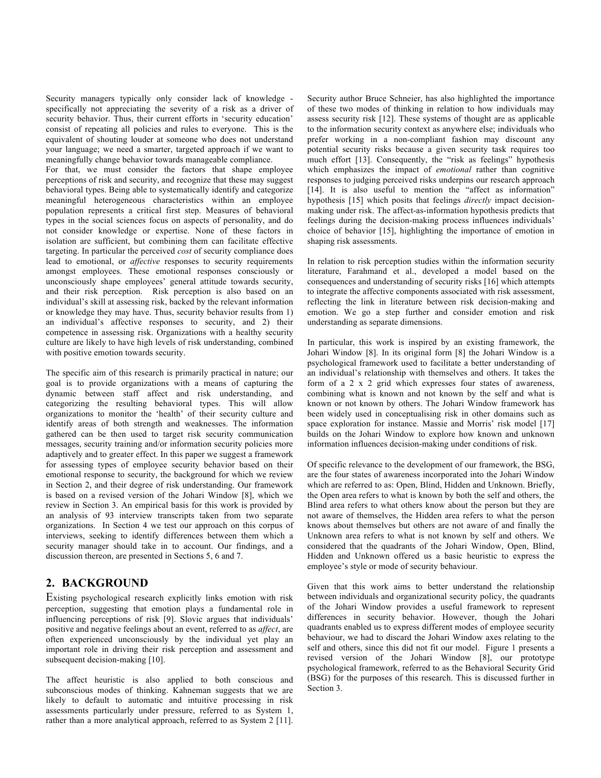Security managers typically only consider lack of knowledge specifically not appreciating the severity of a risk as a driver of security behavior. Thus, their current efforts in 'security education' consist of repeating all policies and rules to everyone. This is the equivalent of shouting louder at someone who does not understand your language; we need a smarter, targeted approach if we want to meaningfully change behavior towards manageable compliance.

For that, we must consider the factors that shape employee perceptions of risk and security, and recognize that these may suggest behavioral types. Being able to systematically identify and categorize meaningful heterogeneous characteristics within an employee population represents a critical first step. Measures of behavioral types in the social sciences focus on aspects of personality, and do not consider knowledge or expertise. None of these factors in isolation are sufficient, but combining them can facilitate effective targeting. In particular the perceived *cost* of security compliance does lead to emotional, or *affective* responses to security requirements amongst employees. These emotional responses consciously or unconsciously shape employees' general attitude towards security, and their risk perception. Risk perception is also based on an individual's skill at assessing risk, backed by the relevant information or knowledge they may have. Thus, security behavior results from 1) an individual's affective responses to security, and 2) their competence in assessing risk. Organizations with a healthy security culture are likely to have high levels of risk understanding, combined with positive emotion towards security.

The specific aim of this research is primarily practical in nature; our goal is to provide organizations with a means of capturing the dynamic between staff affect and risk understanding, and categorizing the resulting behavioral types. This will allow organizations to monitor the 'health' of their security culture and identify areas of both strength and weaknesses. The information gathered can be then used to target risk security communication messages, security training and/or information security policies more adaptively and to greater effect. In this paper we suggest a framework for assessing types of employee security behavior based on their emotional response to security, the background for which we review in Section 2, and their degree of risk understanding. Our framework is based on a revised version of the Johari Window [8], which we review in Section 3. An empirical basis for this work is provided by an analysis of 93 interview transcripts taken from two separate organizations. In Section 4 we test our approach on this corpus of interviews, seeking to identify differences between them which a security manager should take in to account. Our findings, and a discussion thereon, are presented in Sections 5, 6 and 7.

# **2. BACKGROUND**

Existing psychological research explicitly links emotion with risk perception, suggesting that emotion plays a fundamental role in influencing perceptions of risk [9]. Slovic argues that individuals' positive and negative feelings about an event, referred to as *affect*, are often experienced unconsciously by the individual yet play an important role in driving their risk perception and assessment and subsequent decision-making [10].

The affect heuristic is also applied to both conscious and subconscious modes of thinking. Kahneman suggests that we are likely to default to automatic and intuitive processing in risk assessments particularly under pressure, referred to as System 1, rather than a more analytical approach, referred to as System 2 [11]. Security author Bruce Schneier, has also highlighted the importance of these two modes of thinking in relation to how individuals may assess security risk [12]. These systems of thought are as applicable to the information security context as anywhere else; individuals who prefer working in a non-compliant fashion may discount any potential security risks because a given security task requires too much effort [13]. Consequently, the "risk as feelings" hypothesis which emphasizes the impact of *emotional* rather than cognitive responses to judging perceived risks underpins our research approach [14]. It is also useful to mention the "affect as information" hypothesis [15] which posits that feelings *directly* impact decisionmaking under risk. The affect-as-information hypothesis predicts that feelings during the decision-making process influences individuals' choice of behavior [15], highlighting the importance of emotion in shaping risk assessments.

In relation to risk perception studies within the information security literature, Farahmand et al., developed a model based on the consequences and understanding of security risks [16] which attempts to integrate the affective components associated with risk assessment, reflecting the link in literature between risk decision-making and emotion. We go a step further and consider emotion and risk understanding as separate dimensions.

In particular, this work is inspired by an existing framework, the Johari Window [8]. In its original form [8] the Johari Window is a psychological framework used to facilitate a better understanding of an individual's relationship with themselves and others. It takes the form of a 2 x 2 grid which expresses four states of awareness, combining what is known and not known by the self and what is known or not known by others. The Johari Window framework has been widely used in conceptualising risk in other domains such as space exploration for instance. Massie and Morris' risk model [17] builds on the Johari Window to explore how known and unknown information influences decision-making under conditions of risk.

Of specific relevance to the development of our framework, the BSG, are the four states of awareness incorporated into the Johari Window which are referred to as: Open, Blind, Hidden and Unknown. Briefly, the Open area refers to what is known by both the self and others, the Blind area refers to what others know about the person but they are not aware of themselves, the Hidden area refers to what the person knows about themselves but others are not aware of and finally the Unknown area refers to what is not known by self and others. We considered that the quadrants of the Johari Window, Open, Blind, Hidden and Unknown offered us a basic heuristic to express the employee's style or mode of security behaviour.

Given that this work aims to better understand the relationship between individuals and organizational security policy, the quadrants of the Johari Window provides a useful framework to represent differences in security behavior. However, though the Johari quadrants enabled us to express different modes of employee security behaviour, we had to discard the Johari Window axes relating to the self and others, since this did not fit our model. Figure 1 presents a revised version of the Johari Window [8], our prototype psychological framework, referred to as the Behavioral Security Grid (BSG) for the purposes of this research. This is discussed further in Section 3.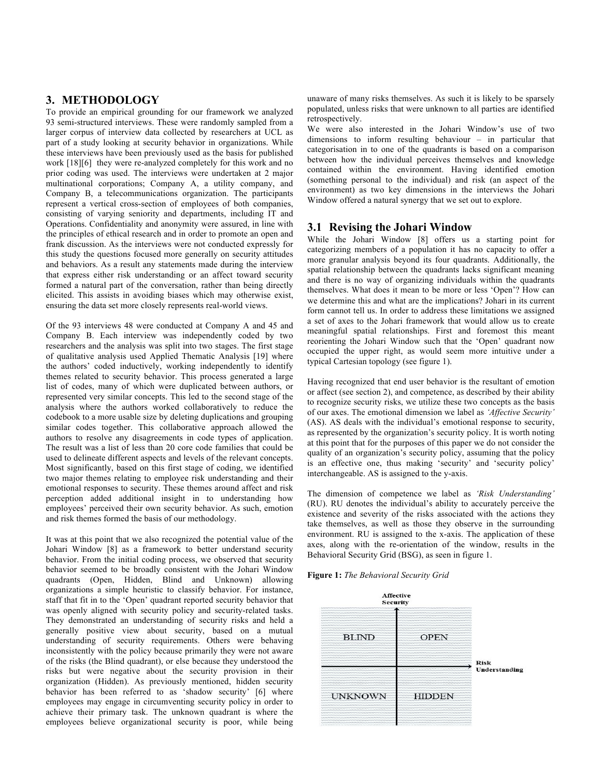# **3. METHODOLOGY**

To provide an empirical grounding for our framework we analyzed 93 semi-structured interviews. These were randomly sampled from a larger corpus of interview data collected by researchers at UCL as part of a study looking at security behavior in organizations. While these interviews have been previously used as the basis for published work [18][6] they were re-analyzed completely for this work and no prior coding was used. The interviews were undertaken at 2 major multinational corporations; Company A, a utility company, and Company B, a telecommunications organization. The participants represent a vertical cross-section of employees of both companies, consisting of varying seniority and departments, including IT and Operations. Confidentiality and anonymity were assured, in line with the principles of ethical research and in order to promote an open and frank discussion. As the interviews were not conducted expressly for this study the questions focused more generally on security attitudes and behaviors. As a result any statements made during the interview that express either risk understanding or an affect toward security formed a natural part of the conversation, rather than being directly elicited. This assists in avoiding biases which may otherwise exist, ensuring the data set more closely represents real-world views.

Of the 93 interviews 48 were conducted at Company A and 45 and Company B. Each interview was independently coded by two researchers and the analysis was split into two stages. The first stage of qualitative analysis used Applied Thematic Analysis [19] where the authors' coded inductively, working independently to identify themes related to security behavior. This process generated a large list of codes, many of which were duplicated between authors, or represented very similar concepts. This led to the second stage of the analysis where the authors worked collaboratively to reduce the codebook to a more usable size by deleting duplications and grouping similar codes together. This collaborative approach allowed the authors to resolve any disagreements in code types of application. The result was a list of less than 20 core code families that could be used to delineate different aspects and levels of the relevant concepts. Most significantly, based on this first stage of coding, we identified two major themes relating to employee risk understanding and their emotional responses to security. These themes around affect and risk perception added additional insight in to understanding how employees' perceived their own security behavior. As such, emotion and risk themes formed the basis of our methodology.

It was at this point that we also recognized the potential value of the Johari Window [8] as a framework to better understand security behavior. From the initial coding process, we observed that security behavior seemed to be broadly consistent with the Johari Window quadrants (Open, Hidden, Blind and Unknown) allowing organizations a simple heuristic to classify behavior. For instance, staff that fit in to the 'Open' quadrant reported security behavior that was openly aligned with security policy and security-related tasks. They demonstrated an understanding of security risks and held a generally positive view about security, based on a mutual understanding of security requirements. Others were behaving inconsistently with the policy because primarily they were not aware of the risks (the Blind quadrant), or else because they understood the risks but were negative about the security provision in their organization (Hidden). As previously mentioned, hidden security behavior has been referred to as 'shadow security' [6] where employees may engage in circumventing security policy in order to achieve their primary task. The unknown quadrant is where the employees believe organizational security is poor, while being unaware of many risks themselves. As such it is likely to be sparsely populated, unless risks that were unknown to all parties are identified retrospectively.

We were also interested in the Johari Window's use of two dimensions to inform resulting behaviour – in particular that categorisation in to one of the quadrants is based on a comparison between how the individual perceives themselves and knowledge contained within the environment. Having identified emotion (something personal to the individual) and risk (an aspect of the environment) as two key dimensions in the interviews the Johari Window offered a natural synergy that we set out to explore.

# **3.1 Revising the Johari Window**

While the Johari Window [8] offers us a starting point for categorizing members of a population it has no capacity to offer a more granular analysis beyond its four quadrants. Additionally, the spatial relationship between the quadrants lacks significant meaning and there is no way of organizing individuals within the quadrants themselves. What does it mean to be more or less 'Open'? How can we determine this and what are the implications? Johari in its current form cannot tell us. In order to address these limitations we assigned a set of axes to the Johari framework that would allow us to create meaningful spatial relationships. First and foremost this meant reorienting the Johari Window such that the 'Open' quadrant now occupied the upper right, as would seem more intuitive under a typical Cartesian topology (see figure 1).

Having recognized that end user behavior is the resultant of emotion or affect (see section 2), and competence, as described by their ability to recognize security risks, we utilize these two concepts as the basis of our axes. The emotional dimension we label as *'Affective Security'* (AS). AS deals with the individual's emotional response to security, as represented by the organization's security policy. It is worth noting at this point that for the purposes of this paper we do not consider the quality of an organization's security policy, assuming that the policy is an effective one, thus making 'security' and 'security policy' interchangeable. AS is assigned to the y-axis.

The dimension of competence we label as *'Risk Understanding'* (RU). RU denotes the individual's ability to accurately perceive the existence and severity of the risks associated with the actions they take themselves, as well as those they observe in the surrounding environment. RU is assigned to the x-axis. The application of these axes, along with the re-orientation of the window, results in the Behavioral Security Grid (BSG), as seen in figure 1.



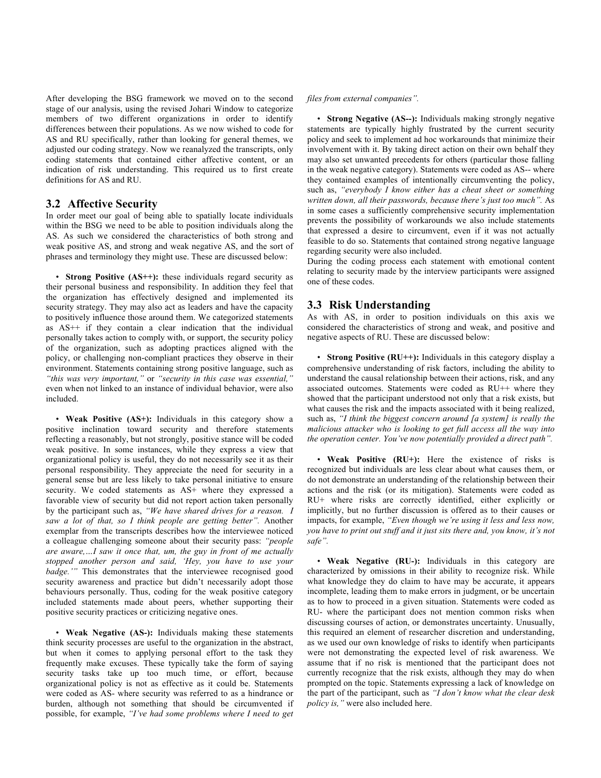After developing the BSG framework we moved on to the second stage of our analysis, using the revised Johari Window to categorize members of two different organizations in order to identify differences between their populations. As we now wished to code for AS and RU specifically, rather than looking for general themes, we adjusted our coding strategy. Now we reanalyzed the transcripts, only coding statements that contained either affective content, or an indication of risk understanding. This required us to first create definitions for AS and RU.

## **3.2 Affective Security**

In order meet our goal of being able to spatially locate individuals within the BSG we need to be able to position individuals along the AS. As such we considered the characteristics of both strong and weak positive AS, and strong and weak negative AS, and the sort of phrases and terminology they might use. These are discussed below:

• **Strong Positive (AS++):** these individuals regard security as their personal business and responsibility. In addition they feel that the organization has effectively designed and implemented its security strategy. They may also act as leaders and have the capacity to positively influence those around them. We categorized statements as AS++ if they contain a clear indication that the individual personally takes action to comply with, or support, the security policy of the organization, such as adopting practices aligned with the policy, or challenging non-compliant practices they observe in their environment. Statements containing strong positive language, such as *"this was very important,"* or *"security in this case was essential,"* even when not linked to an instance of individual behavior, were also included.

• **Weak Positive (AS+):** Individuals in this category show a positive inclination toward security and therefore statements reflecting a reasonably, but not strongly, positive stance will be coded weak positive. In some instances, while they express a view that organizational policy is useful, they do not necessarily see it as their personal responsibility. They appreciate the need for security in a general sense but are less likely to take personal initiative to ensure security. We coded statements as AS+ where they expressed a favorable view of security but did not report action taken personally by the participant such as, *"We have shared drives for a reason. I saw a lot of that, so I think people are getting better".* Another exemplar from the transcripts describes how the interviewee noticed a colleague challenging someone about their security pass: *"people are aware,…I saw it once that, um, the guy in front of me actually stopped another person and said, 'Hey, you have to use your badge.'"* This demonstrates that the interviewee recognised good security awareness and practice but didn't necessarily adopt those behaviours personally. Thus, coding for the weak positive category included statements made about peers, whether supporting their positive security practices or criticizing negative ones.

• **Weak Negative (AS-):** Individuals making these statements think security processes are useful to the organization in the abstract, but when it comes to applying personal effort to the task they frequently make excuses. These typically take the form of saying security tasks take up too much time, or effort, because organizational policy is not as effective as it could be. Statements were coded as AS- where security was referred to as a hindrance or burden, although not something that should be circumvented if possible, for example, *"I've had some problems where I need to get* 

#### *files from external companies".*

• **Strong Negative (AS--):** Individuals making strongly negative statements are typically highly frustrated by the current security policy and seek to implement ad hoc workarounds that minimize their involvement with it. By taking direct action on their own behalf they may also set unwanted precedents for others (particular those falling in the weak negative category). Statements were coded as AS-- where they contained examples of intentionally circumventing the policy, such as, *"everybody I know either has a cheat sheet or something written down, all their passwords, because there's just too much".* As in some cases a sufficiently comprehensive security implementation prevents the possibility of workarounds we also include statements that expressed a desire to circumvent, even if it was not actually feasible to do so. Statements that contained strong negative language regarding security were also included.

During the coding process each statement with emotional content relating to security made by the interview participants were assigned one of these codes.

## **3.3 Risk Understanding**

As with AS, in order to position individuals on this axis we considered the characteristics of strong and weak, and positive and negative aspects of RU. These are discussed below:

• **Strong Positive (RU++):** Individuals in this category display a comprehensive understanding of risk factors, including the ability to understand the causal relationship between their actions, risk, and any associated outcomes. Statements were coded as RU++ where they showed that the participant understood not only that a risk exists, but what causes the risk and the impacts associated with it being realized, such as, *"I think the biggest concern around [a system] is really the malicious attacker who is looking to get full access all the way into the operation center. You've now potentially provided a direct path".*

• **Weak Positive (RU+):** Here the existence of risks is recognized but individuals are less clear about what causes them, or do not demonstrate an understanding of the relationship between their actions and the risk (or its mitigation). Statements were coded as RU+ where risks are correctly identified, either explicitly or implicitly, but no further discussion is offered as to their causes or impacts, for example, *"Even though we're using it less and less now, you have to print out stuff and it just sits there and, you know, it's not safe".*

• **Weak Negative (RU-):** Individuals in this category are characterized by omissions in their ability to recognize risk. While what knowledge they do claim to have may be accurate, it appears incomplete, leading them to make errors in judgment, or be uncertain as to how to proceed in a given situation. Statements were coded as RU- where the participant does not mention common risks when discussing courses of action, or demonstrates uncertainty. Unusually, this required an element of researcher discretion and understanding, as we used our own knowledge of risks to identify when participants were not demonstrating the expected level of risk awareness. We assume that if no risk is mentioned that the participant does not currently recognize that the risk exists, although they may do when prompted on the topic. Statements expressing a lack of knowledge on the part of the participant, such as *"I don't know what the clear desk policy is,"* were also included here.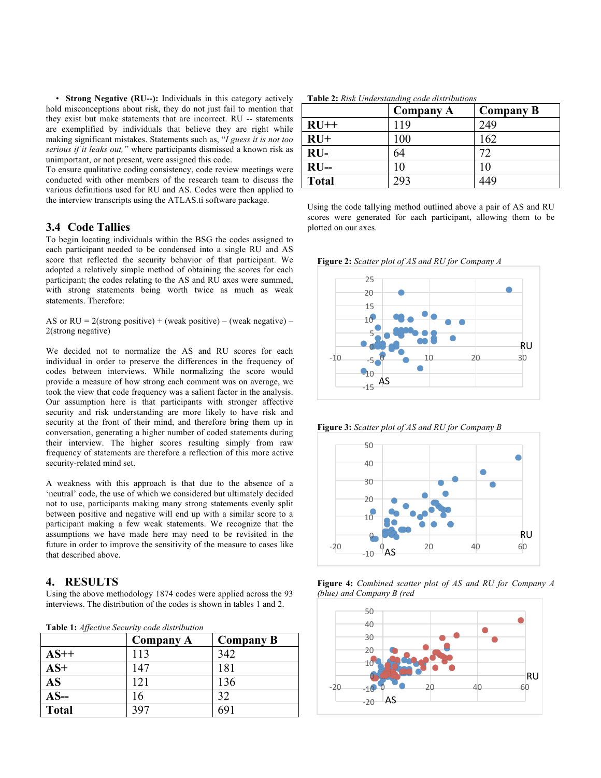• **Strong Negative (RU--):** Individuals in this category actively hold misconceptions about risk, they do not just fail to mention that they exist but make statements that are incorrect. RU -- statements are exemplified by individuals that believe they are right while making significant mistakes. Statements such as, "*I guess it is not too serious if it leaks out,"* where participants dismissed a known risk as unimportant, or not present, were assigned this code.

To ensure qualitative coding consistency, code review meetings were conducted with other members of the research team to discuss the various definitions used for RU and AS. Codes were then applied to the interview transcripts using the ATLAS.ti software package.

## **3.4 Code Tallies**

To begin locating individuals within the BSG the codes assigned to each participant needed to be condensed into a single RU and AS score that reflected the security behavior of that participant. We adopted a relatively simple method of obtaining the scores for each participant; the codes relating to the AS and RU axes were summed, with strong statements being worth twice as much as weak statements. Therefore:

AS or  $RU = 2$ (strong positive) + (weak positive) – (weak negative) – 2(strong negative)

We decided not to normalize the AS and RU scores for each individual in order to preserve the differences in the frequency of codes between interviews. While normalizing the score would provide a measure of how strong each comment was on average, we took the view that code frequency was a salient factor in the analysis. Our assumption here is that participants with stronger affective security and risk understanding are more likely to have risk and security at the front of their mind, and therefore bring them up in conversation, generating a higher number of coded statements during their interview. The higher scores resulting simply from raw frequency of statements are therefore a reflection of this more active security-related mind set.

A weakness with this approach is that due to the absence of a 'neutral' code, the use of which we considered but ultimately decided not to use, participants making many strong statements evenly split between positive and negative will end up with a similar score to a participant making a few weak statements. We recognize that the assumptions we have made here may need to be revisited in the future in order to improve the sensitivity of the measure to cases like that described above.

## **4. RESULTS**

Using the above methodology 1874 codes were applied across the 93 interviews. The distribution of the codes is shown in tables 1 and 2.

**Table 1:** *Affective Security code distribution*

|              | <b>Company A</b> | <b>Company B</b> |
|--------------|------------------|------------------|
| $AS++$       | 113              | 342              |
| $AS+$        | 147              | 181              |
| <b>AS</b>    | 121              | 136              |
| $AS-$        | 16               | 32               |
| <b>Total</b> | 397              |                  |

**Table 2:** *Risk Understanding code distributions*

|              | Company A | <b>Company B</b> |
|--------------|-----------|------------------|
| $RU++$       | 119       | 249              |
| $RU+$        | 100       | 162              |
| $RU-$        | 64        |                  |
| $RU-$        | 10        | 10               |
| <b>Total</b> | 293       | 449              |

Using the code tallying method outlined above a pair of AS and RU scores were generated for each participant, allowing them to be plotted on our axes.

**Figure 2:** *Scatter plot of AS and RU for Company A*



**Figure 3:** *Scatter plot of AS and RU for Company B*





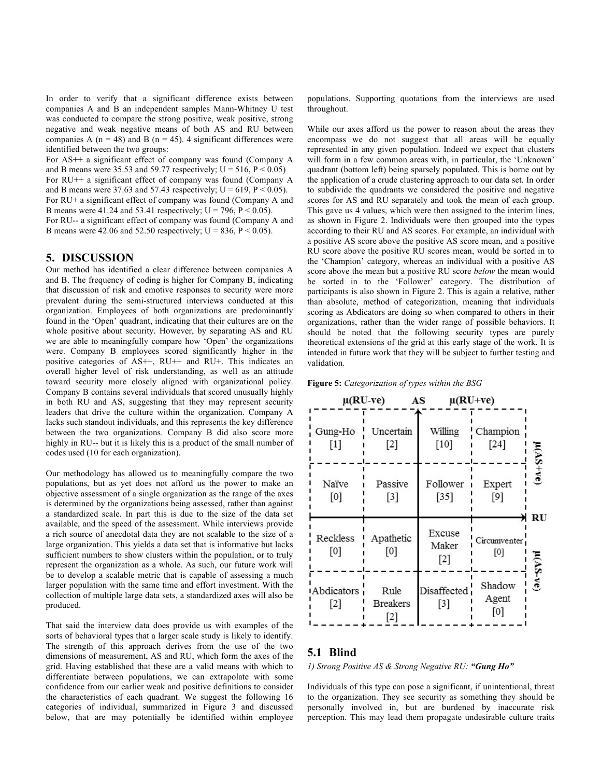In order to verify that a significant difference exists between companies A and B an independent samples Mann-Whitney U test was conducted to compare the strong positive, weak positive, strong negative and weak negative means of both AS and RU between companies A ( $n = 48$ ) and B ( $n = 45$ ). 4 significant differences were identified between the two groups:

For AS++ a significant effect of company was found (Company A and B means were 35.53 and 59.77 respectively;  $U = 516$ ,  $P < 0.05$ )

For RU++ a significant effect of company was found (Company A and B means were 37.63 and 57.43 respectively;  $U = 619$ ,  $P < 0.05$ ).

For RU+ a significant effect of company was found (Company A and B means were 41.24 and 53.41 respectively;  $U = 796$ ,  $P < 0.05$ ).

For RU-- a significant effect of company was found (Company A and B means were 42.06 and 52.50 respectively;  $U = 836$ ,  $P < 0.05$ ).

## **5. DISCUSSION**

Our method has identified a clear difference between companies A and B. The frequency of coding is higher for Company B, indicating that discussion of risk and emotive responses to security were more prevalent during the semi-structured interviews conducted at this organization. Employees of both organizations are predominantly found in the 'Open' quadrant, indicating that their cultures are on the whole positive about security. However, by separating AS and RU we are able to meaningfully compare how 'Open' the organizations were. Company B employees scored significantly higher in the positive categories of AS++, RU++ and RU+. This indicates an overall higher level of risk understanding, as well as an attitude toward security more closely aligned with organizational policy. Company B contains several individuals that scored unusually highly in both RU and AS, suggesting that they may represent security leaders that drive the culture within the organization. Company A lacks such standout individuals, and this represents the key difference between the two organizations. Company B did also score more highly in RU-- but it is likely this is a product of the small number of codes used (10 for each organization).

Our methodology has allowed us to meaningfully compare the two populations, but as yet does not afford us the power to make an objective assessment of a single organization as the range of the axes is determined by the organizations being assessed, rather than against a standardized scale. In part this is due to the size of the data set available, and the speed of the assessment. While interviews provide a rich source of anecdotal data they are not scalable to the size of a large organization. This yields a data set that is informative but lacks sufficient numbers to show clusters within the population, or to truly represent the organization as a whole. As such, our future work will be to develop a scalable metric that is capable of assessing a much larger population with the same time and effort investment. With the collection of multiple large data sets, a standardized axes will also be produced.

That said the interview data does provide us with examples of the sorts of behavioral types that a larger scale study is likely to identify. The strength of this approach derives from the use of the two dimensions of measurement, AS and RU, which form the axes of the grid. Having established that these are a valid means with which to differentiate between populations, we can extrapolate with some confidence from our earlier weak and positive definitions to consider the characteristics of each quadrant. We suggest the following 16 categories of individual, summarized in Figure 3 and discussed below, that are may potentially be identified within employee populations. Supporting quotations from the interviews are used throughout.

While our axes afford us the power to reason about the areas they encompass we do not suggest that all areas will be equally represented in any given population. Indeed we expect that clusters will form in a few common areas with, in particular, the 'Unknown' quadrant (bottom left) being sparsely populated. This is borne out by the application of a crude clustering approach to our data set. In order to subdivide the quadrants we considered the positive and negative scores for AS and RU separately and took the mean of each group. This gave us 4 values, which were then assigned to the interim lines, as shown in Figure 2. Individuals were then grouped into the types according to their RU and AS scores. For example, an individual with a positive AS score above the positive AS score mean, and a positive RU score above the positive RU scores mean, would be sorted in to the 'Champion' category, whereas an individual with a positive AS score above the mean but a positive RU score *below* the mean would be sorted in to the 'Follower' category. The distribution of participants is also shown in Figure 2. This is again a relative, rather than absolute, method of categorization, meaning that individuals scoring as Abdicators are doing so when compared to others in their organizations, rather than the wider range of possible behaviors. It should be noted that the following security types are purely theoretical extensions of the grid at this early stage of the work. It is intended in future work that they will be subject to further testing and validation.

**Figure 5:** *Categorization of types within the BSG*



# **5.1 Blind**

*1) Strong Positive AS & Strong Negative RU: "Gung Ho"*

Individuals of this type can pose a significant, if unintentional, threat to the organization. They see security as something they should be personally involved in, but are burdened by inaccurate risk perception. This may lead them propagate undesirable culture traits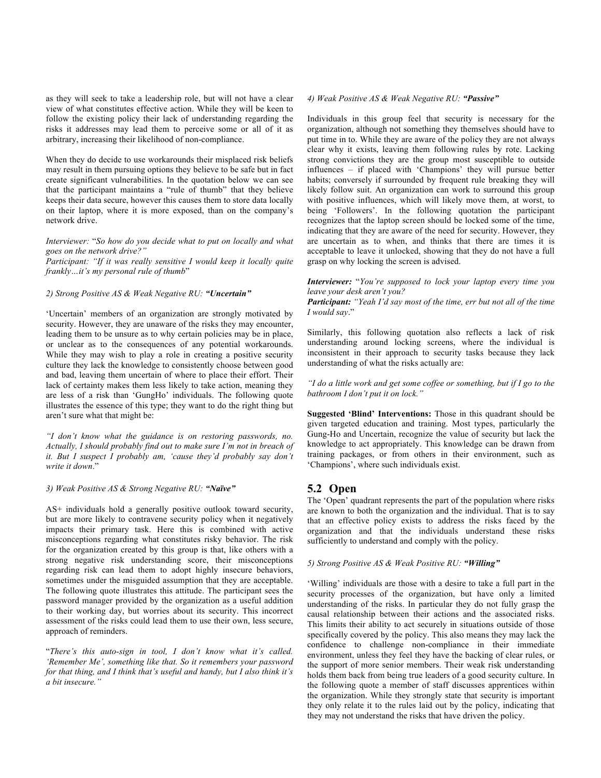as they will seek to take a leadership role, but will not have a clear view of what constitutes effective action. While they will be keen to follow the existing policy their lack of understanding regarding the risks it addresses may lead them to perceive some or all of it as arbitrary, increasing their likelihood of non-compliance.

When they do decide to use workarounds their misplaced risk beliefs may result in them pursuing options they believe to be safe but in fact create significant vulnerabilities. In the quotation below we can see that the participant maintains a "rule of thumb" that they believe keeps their data secure, however this causes them to store data locally on their laptop, where it is more exposed, than on the company's network drive.

*Interviewer:* "*So how do you decide what to put on locally and what goes on the network drive?"*

*Participant: "If it was really sensitive I would keep it locally quite frankly…it's my personal rule of thumb*"

## *2) Strong Positive AS & Weak Negative RU: "Uncertain"*

'Uncertain' members of an organization are strongly motivated by security. However, they are unaware of the risks they may encounter, leading them to be unsure as to why certain policies may be in place, or unclear as to the consequences of any potential workarounds. While they may wish to play a role in creating a positive security culture they lack the knowledge to consistently choose between good and bad, leaving them uncertain of where to place their effort. Their lack of certainty makes them less likely to take action, meaning they are less of a risk than 'GungHo' individuals. The following quote illustrates the essence of this type; they want to do the right thing but aren't sure what that might be:

*"I don't know what the guidance is on restoring passwords, no. Actually, I should probably find out to make sure I'm not in breach of it. But I suspect I probably am, 'cause they'd probably say don't write it down*."

## *3) Weak Positive AS & Strong Negative RU: "Naïve"*

AS+ individuals hold a generally positive outlook toward security, but are more likely to contravene security policy when it negatively impacts their primary task. Here this is combined with active misconceptions regarding what constitutes risky behavior. The risk for the organization created by this group is that, like others with a strong negative risk understanding score, their misconceptions regarding risk can lead them to adopt highly insecure behaviors, sometimes under the misguided assumption that they are acceptable. The following quote illustrates this attitude. The participant sees the password manager provided by the organization as a useful addition to their working day, but worries about its security. This incorrect assessment of the risks could lead them to use their own, less secure, approach of reminders.

"*There's this auto-sign in tool, I don't know what it's called. 'Remember Me', something like that. So it remembers your password for that thing, and I think that's useful and handy, but I also think it's a bit insecure."*

## *4) Weak Positive AS & Weak Negative RU: "Passive"*

Individuals in this group feel that security is necessary for the organization, although not something they themselves should have to put time in to. While they are aware of the policy they are not always clear why it exists, leaving them following rules by rote. Lacking strong convictions they are the group most susceptible to outside influences – if placed with 'Champions' they will pursue better habits; conversely if surrounded by frequent rule breaking they will likely follow suit. An organization can work to surround this group with positive influences, which will likely move them, at worst, to being 'Followers'. In the following quotation the participant recognizes that the laptop screen should be locked some of the time, indicating that they are aware of the need for security. However, they are uncertain as to when, and thinks that there are times it is acceptable to leave it unlocked, showing that they do not have a full grasp on why locking the screen is advised.

#### *Interviewer:* "*You're supposed to lock your laptop every time you leave your desk aren't you?*

*Participant: "Yeah I'd say most of the time, err but not all of the time I would say*."

Similarly, this following quotation also reflects a lack of risk understanding around locking screens, where the individual is inconsistent in their approach to security tasks because they lack understanding of what the risks actually are:

*"I do a little work and get some coffee or something, but if I go to the bathroom I don't put it on lock."*

**Suggested 'Blind' Interventions:** Those in this quadrant should be given targeted education and training. Most types, particularly the Gung-Ho and Uncertain, recognize the value of security but lack the knowledge to act appropriately. This knowledge can be drawn from training packages, or from others in their environment, such as 'Champions', where such individuals exist.

## **5.2 Open**

The 'Open' quadrant represents the part of the population where risks are known to both the organization and the individual. That is to say that an effective policy exists to address the risks faced by the organization and that the individuals understand these risks sufficiently to understand and comply with the policy.

## *5) Strong Positive AS & Weak Positive RU: "Willing"*

'Willing' individuals are those with a desire to take a full part in the security processes of the organization, but have only a limited understanding of the risks. In particular they do not fully grasp the causal relationship between their actions and the associated risks. This limits their ability to act securely in situations outside of those specifically covered by the policy. This also means they may lack the confidence to challenge non-compliance in their immediate environment, unless they feel they have the backing of clear rules, or the support of more senior members. Their weak risk understanding holds them back from being true leaders of a good security culture. In the following quote a member of staff discusses apprentices within the organization. While they strongly state that security is important they only relate it to the rules laid out by the policy, indicating that they may not understand the risks that have driven the policy.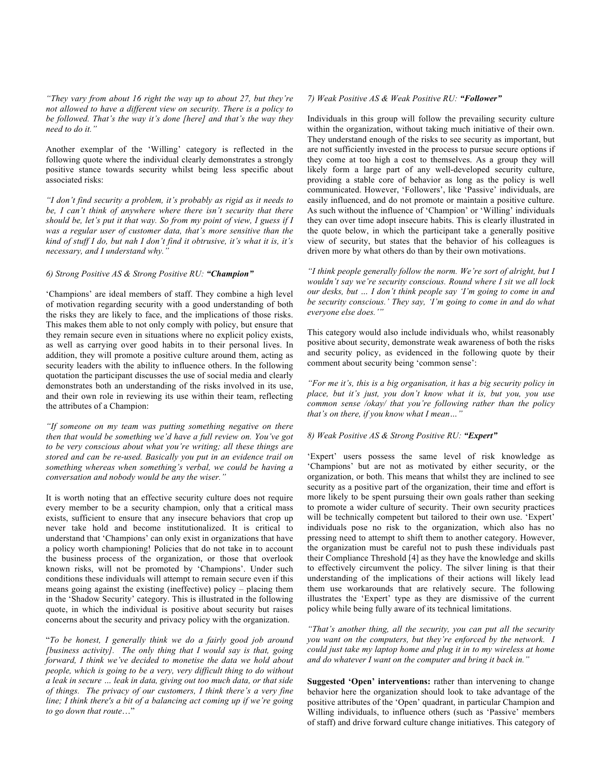*"They vary from about 16 right the way up to about 27, but they're not allowed to have a different view on security. There is a policy to be followed. That's the way it's done [here] and that's the way they need to do it."*

Another exemplar of the 'Willing' category is reflected in the following quote where the individual clearly demonstrates a strongly positive stance towards security whilst being less specific about associated risks:

*"I don't find security a problem, it's probably as rigid as it needs to be, I can't think of anywhere where there isn't security that there should be, let's put it that way. So from my point of view, I guess if I was a regular user of customer data, that's more sensitive than the kind of stuff I do, but nah I don't find it obtrusive, it's what it is, it's necessary, and I understand why."*

## *6) Strong Positive AS & Strong Positive RU: "Champion"*

'Champions' are ideal members of staff. They combine a high level of motivation regarding security with a good understanding of both the risks they are likely to face, and the implications of those risks. This makes them able to not only comply with policy, but ensure that they remain secure even in situations where no explicit policy exists, as well as carrying over good habits in to their personal lives. In addition, they will promote a positive culture around them, acting as security leaders with the ability to influence others. In the following quotation the participant discusses the use of social media and clearly demonstrates both an understanding of the risks involved in its use, and their own role in reviewing its use within their team, reflecting the attributes of a Champion:

*"If someone on my team was putting something negative on there then that would be something we'd have a full review on. You've got to be very conscious about what you're writing; all these things are stored and can be re-used. Basically you put in an evidence trail on something whereas when something's verbal, we could be having a conversation and nobody would be any the wiser."*

It is worth noting that an effective security culture does not require every member to be a security champion, only that a critical mass exists, sufficient to ensure that any insecure behaviors that crop up never take hold and become institutionalized. It is critical to understand that 'Champions' can only exist in organizations that have a policy worth championing! Policies that do not take in to account the business process of the organization, or those that overlook known risks, will not be promoted by 'Champions'. Under such conditions these individuals will attempt to remain secure even if this means going against the existing (ineffective) policy – placing them in the 'Shadow Security' category. This is illustrated in the following quote, in which the individual is positive about security but raises concerns about the security and privacy policy with the organization.

"*To be honest, I generally think we do a fairly good job around [business activity]. The only thing that I would say is that, going forward, I think we've decided to monetise the data we hold about people, which is going to be a very, very difficult thing to do without a leak in secure … leak in data, giving out too much data, or that side of things. The privacy of our customers, I think there's a very fine line; I think there's a bit of a balancing act coming up if we're going to go down that route*…"

#### *7) Weak Positive AS & Weak Positive RU: "Follower"*

Individuals in this group will follow the prevailing security culture within the organization, without taking much initiative of their own. They understand enough of the risks to see security as important, but are not sufficiently invested in the process to pursue secure options if they come at too high a cost to themselves. As a group they will likely form a large part of any well-developed security culture, providing a stable core of behavior as long as the policy is well communicated. However, 'Followers', like 'Passive' individuals, are easily influenced, and do not promote or maintain a positive culture. As such without the influence of 'Champion' or 'Willing' individuals they can over time adopt insecure habits. This is clearly illustrated in the quote below, in which the participant take a generally positive view of security, but states that the behavior of his colleagues is driven more by what others do than by their own motivations.

*"I think people generally follow the norm. We're sort of alright, but I wouldn't say we're security conscious. Round where I sit we all lock our desks, but … I don't think people say 'I'm going to come in and be security conscious.' They say, 'I'm going to come in and do what everyone else does.'"*

This category would also include individuals who, whilst reasonably positive about security, demonstrate weak awareness of both the risks and security policy, as evidenced in the following quote by their comment about security being 'common sense':

*"For me it's, this is a big organisation, it has a big security policy in place, but it's just, you don't know what it is, but you, you use common sense /okay/ that you're following rather than the policy that's on there, if you know what I mean…"*

#### *8) Weak Positive AS & Strong Positive RU: "Expert"*

'Expert' users possess the same level of risk knowledge as 'Champions' but are not as motivated by either security, or the organization, or both. This means that whilst they are inclined to see security as a positive part of the organization, their time and effort is more likely to be spent pursuing their own goals rather than seeking to promote a wider culture of security. Their own security practices will be technically competent but tailored to their own use. 'Expert' individuals pose no risk to the organization, which also has no pressing need to attempt to shift them to another category. However, the organization must be careful not to push these individuals past their Compliance Threshold [4] as they have the knowledge and skills to effectively circumvent the policy. The silver lining is that their understanding of the implications of their actions will likely lead them use workarounds that are relatively secure. The following illustrates the 'Expert' type as they are dismissive of the current policy while being fully aware of its technical limitations.

*"That's another thing, all the security, you can put all the security you want on the computers, but they're enforced by the network. I could just take my laptop home and plug it in to my wireless at home and do whatever I want on the computer and bring it back in."*

**Suggested 'Open' interventions:** rather than intervening to change behavior here the organization should look to take advantage of the positive attributes of the 'Open' quadrant, in particular Champion and Willing individuals, to influence others (such as 'Passive' members of staff) and drive forward culture change initiatives. This category of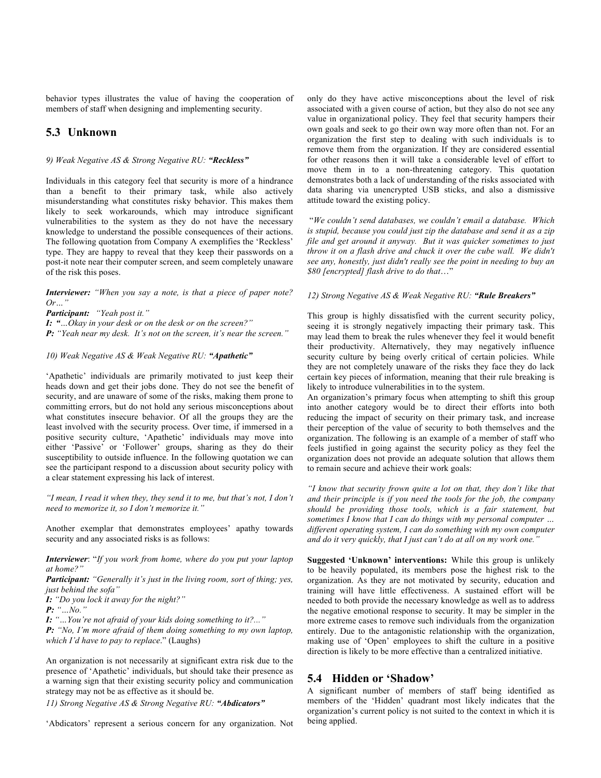behavior types illustrates the value of having the cooperation of members of staff when designing and implementing security.

# **5.3 Unknown**

## *9) Weak Negative AS & Strong Negative RU: "Reckless"*

Individuals in this category feel that security is more of a hindrance than a benefit to their primary task, while also actively misunderstanding what constitutes risky behavior. This makes them likely to seek workarounds, which may introduce significant vulnerabilities to the system as they do not have the necessary knowledge to understand the possible consequences of their actions. The following quotation from Company A exemplifies the 'Reckless' type. They are happy to reveal that they keep their passwords on a post-it note near their computer screen, and seem completely unaware of the risk this poses.

*Interviewer: "When you say a note, is that a piece of paper note? Or…"*

*Participant: "Yeah post it."*

*I: "…Okay in your desk or on the desk or on the screen?"*

*P: "Yeah near my desk. It's not on the screen, it's near the screen."*

*10) Weak Negative AS & Weak Negative RU: "Apathetic"*

'Apathetic' individuals are primarily motivated to just keep their heads down and get their jobs done. They do not see the benefit of security, and are unaware of some of the risks, making them prone to committing errors, but do not hold any serious misconceptions about what constitutes insecure behavior. Of all the groups they are the least involved with the security process. Over time, if immersed in a positive security culture, 'Apathetic' individuals may move into either 'Passive' or 'Follower' groups, sharing as they do their susceptibility to outside influence. In the following quotation we can see the participant respond to a discussion about security policy with a clear statement expressing his lack of interest.

*"I mean, I read it when they, they send it to me, but that's not, I don't need to memorize it, so I don't memorize it."*

Another exemplar that demonstrates employees' apathy towards security and any associated risks is as follows:

*Interviewer*: "*If you work from home, where do you put your laptop at home?"*

*Participant: "Generally it's just in the living room, sort of thing; yes, just behind the sofa"*

*I: "Do you lock it away for the night?"*

*P: "…No."*

*I: "…You're not afraid of your kids doing something to it?..."*

*P: "No, I'm more afraid of them doing something to my own laptop, which I'd have to pay to replace*." (Laughs)

An organization is not necessarily at significant extra risk due to the presence of 'Apathetic' individuals, but should take their presence as a warning sign that their existing security policy and communication strategy may not be as effective as it should be.

*11) Strong Negative AS & Strong Negative RU: "Abdicators"*

'Abdicators' represent a serious concern for any organization. Not

only do they have active misconceptions about the level of risk associated with a given course of action, but they also do not see any value in organizational policy. They feel that security hampers their own goals and seek to go their own way more often than not. For an organization the first step to dealing with such individuals is to remove them from the organization. If they are considered essential for other reasons then it will take a considerable level of effort to move them in to a non-threatening category. This quotation demonstrates both a lack of understanding of the risks associated with data sharing via unencrypted USB sticks, and also a dismissive attitude toward the existing policy.

"*We couldn't send databases, we couldn't email a database. Which is stupid, because you could just zip the database and send it as a zip file and get around it anyway. But it was quicker sometimes to just throw it on a flash drive and chuck it over the cube wall. We didn't see any, honestly, just didn't really see the point in needing to buy an \$80 [encrypted] flash drive to do that*…"

#### *12) Strong Negative AS & Weak Negative RU: "Rule Breakers"*

This group is highly dissatisfied with the current security policy, seeing it is strongly negatively impacting their primary task. This may lead them to break the rules whenever they feel it would benefit their productivity. Alternatively, they may negatively influence security culture by being overly critical of certain policies. While they are not completely unaware of the risks they face they do lack certain key pieces of information, meaning that their rule breaking is likely to introduce vulnerabilities in to the system.

An organization's primary focus when attempting to shift this group into another category would be to direct their efforts into both reducing the impact of security on their primary task, and increase their perception of the value of security to both themselves and the organization. The following is an example of a member of staff who feels justified in going against the security policy as they feel the organization does not provide an adequate solution that allows them to remain secure and achieve their work goals:

*"I know that security frown quite a lot on that, they don't like that and their principle is if you need the tools for the job, the company should be providing those tools, which is a fair statement, but sometimes I know that I can do things with my personal computer … different operating system, I can do something with my own computer and do it very quickly, that I just can't do at all on my work one."*

**Suggested 'Unknown' interventions:** While this group is unlikely to be heavily populated, its members pose the highest risk to the organization. As they are not motivated by security, education and training will have little effectiveness. A sustained effort will be needed to both provide the necessary knowledge as well as to address the negative emotional response to security. It may be simpler in the more extreme cases to remove such individuals from the organization entirely. Due to the antagonistic relationship with the organization, making use of 'Open' employees to shift the culture in a positive direction is likely to be more effective than a centralized initiative.

## **5.4 Hidden or 'Shadow'**

A significant number of members of staff being identified as members of the 'Hidden' quadrant most likely indicates that the organization's current policy is not suited to the context in which it is being applied.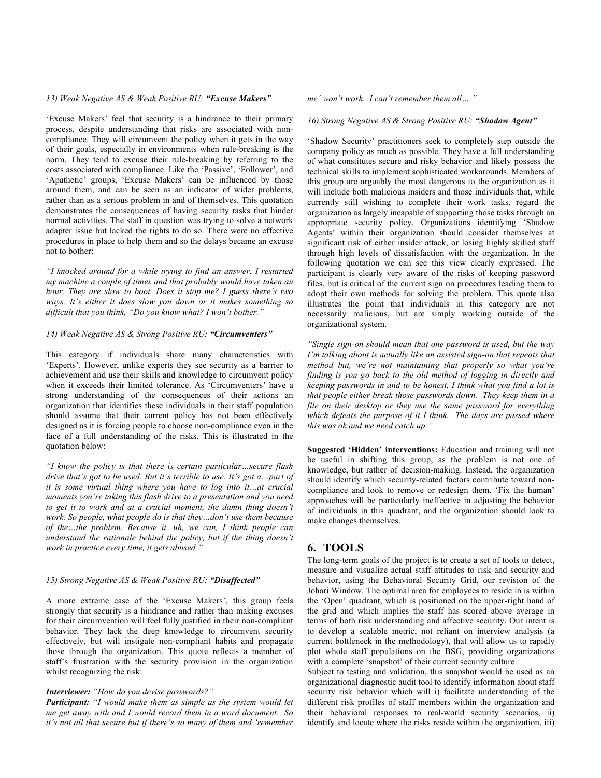## *13) Weak Negative AS & Weak Positive RU: "Excuse Makers"*

'Excuse Makers' feel that security is a hindrance to their primary process, despite understanding that risks are associated with noncompliance. They will circumvent the policy when it gets in the way of their goals, especially in environments when rule-breaking is the norm. They tend to excuse their rule-breaking by referring to the costs associated with compliance. Like the 'Passive', 'Follower', and 'Apathetic' groups, 'Excuse Makers' can be influenced by those around them, and can be seen as an indicator of wider problems, rather than as a serious problem in and of themselves. This quotation demonstrates the consequences of having security tasks that hinder normal activities. The staff in question was trying to solve a network adapter issue but lacked the rights to do so. There were no effective procedures in place to help them and so the delays became an excuse not to bother:

*"I knocked around for a while trying to find an answer. I restarted my machine a couple of times and that probably would have taken an hour. They are slow to boot. Does it stop me? I guess there's two ways. It's either it does slow you down or it makes something so difficult that you think, "Do you know what? I won't bother."*

### *14) Weak Negative AS & Strong Positive RU: "Circumventers"*

This category if individuals share many characteristics with 'Experts'. However, unlike experts they see security as a barrier to achievement and use their skills and knowledge to circumvent policy when it exceeds their limited tolerance. As 'Circumventers' have a strong understanding of the consequences of their actions an organization that identifies these individuals in their staff population should assume that their current policy has not been effectively designed as it is forcing people to choose non-compliance even in the face of a full understanding of the risks. This is illustrated in the quotation below:

*"I know the policy is that there is certain particular…secure flash drive that's got to be used. But it's terrible to use. It's got a…part of it is some virtual thing where you have to log into it…at crucial moments you're taking this flash drive to a presentation and you need*  to get it to work and at a crucial moment, the damn thing doesn't *work. So people, what people do is that they…don't use them because of the…the problem. Because it, uh, we can, I think people can understand the rationale behind the policy, but if the thing doesn't work in practice every time, it gets abused."*

#### *15) Strong Negative AS & Weak Positive RU: "Disaffected"*

A more extreme case of the 'Excuse Makers', this group feels strongly that security is a hindrance and rather than making excuses for their circumvention will feel fully justified in their non-compliant behavior. They lack the deep knowledge to circumvent security effectively, but will instigate non-compliant habits and propagate those through the organization. This quote reflects a member of staff's frustration with the security provision in the organization whilst recognizing the risk:

#### *Interviewer: "How do you devise passwords?"*

*Participant: "I would make them as simple as the system would let me get away with and I would record them in a word document. So it's not all that secure but if there's so many of them and 'remember* 

*me' won't work. I can't remember them all…."*

#### *16) Strong Negative AS & Strong Positive RU: "Shadow Agent"*

'Shadow Security' practitioners seek to completely step outside the company policy as much as possible. They have a full understanding of what constitutes secure and risky behavior and likely possess the technical skills to implement sophisticated workarounds. Members of this group are arguably the most dangerous to the organization as it will include both malicious insiders and those individuals that, while currently still wishing to complete their work tasks, regard the organization as largely incapable of supporting those tasks through an appropriate security policy. Organizations identifying 'Shadow Agents' within their organization should consider themselves at significant risk of either insider attack, or losing highly skilled staff through high levels of dissatisfaction with the organization. In the following quotation we can see this view clearly expressed. The participant is clearly very aware of the risks of keeping password files, but is critical of the current sign on procedures leading them to adopt their own methods for solving the problem. This quote also illustrates the point that individuals in this category are not necessarily malicious, but are simply working outside of the organizational system.

*"Single sign-on should mean that one password is used, but the way I'm talking about is actually like an assisted sign-on that repeats that method but, we're not maintaining that properly so what you're finding is you go back to the old method of logging in directly and keeping passwords in and to be honest, I think what you find a lot is that people either break those passwords down. They keep them in a file on their desktop or they use the same password for everything which defeats the purpose of it I think. The days are passed where this was ok and we need catch up."*

**Suggested 'Hidden' interventions:** Education and training will not be useful in shifting this group, as the problem is not one of knowledge, but rather of decision-making. Instead, the organization should identify which security-related factors contribute toward noncompliance and look to remove or redesign them. 'Fix the human' approaches will be particularly ineffective in adjusting the behavior of individuals in this quadrant, and the organization should look to make changes themselves.

# **6. TOOLS**

The long-term goals of the project is to create a set of tools to detect, measure and visualize actual staff attitudes to risk and security and behavior, using the Behavioral Security Grid, our revision of the Johari Window. The optimal area for employees to reside in is within the 'Open' quadrant, which is positioned on the upper-right hand of the grid and which implies the staff has scored above average in terms of both risk understanding and affective security. Our intent is to develop a scalable metric, not reliant on interview analysis (a current bottleneck in the methodology), that will allow us to rapidly plot whole staff populations on the BSG, providing organizations with a complete 'snapshot' of their current security culture.

Subject to testing and validation, this snapshot would be used as an organizational diagnostic audit tool to identify information about staff security risk behavior which will i) facilitate understanding of the different risk profiles of staff members within the organization and their behavioral responses to real-world security scenarios, ii) identify and locate where the risks reside within the organization, iii)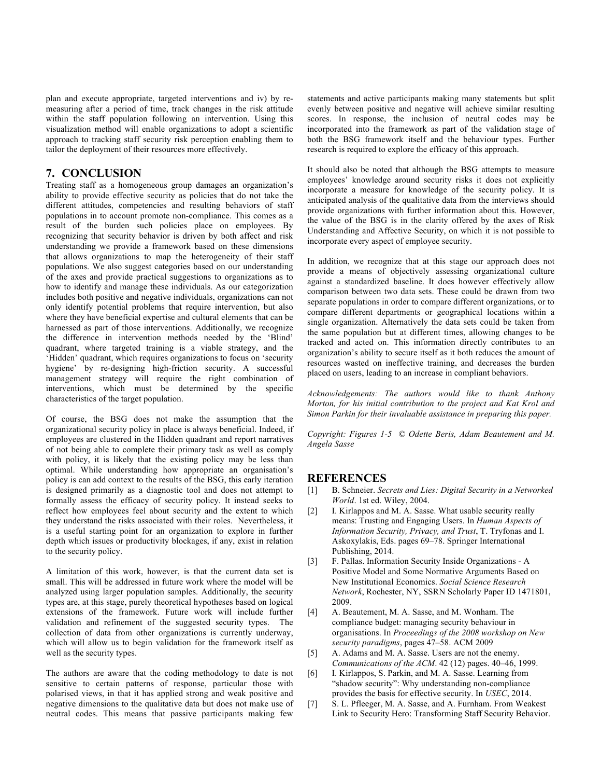plan and execute appropriate, targeted interventions and iv) by remeasuring after a period of time, track changes in the risk attitude within the staff population following an intervention. Using this visualization method will enable organizations to adopt a scientific approach to tracking staff security risk perception enabling them to tailor the deployment of their resources more effectively.

# **7. CONCLUSION**

Treating staff as a homogeneous group damages an organization's ability to provide effective security as policies that do not take the different attitudes, competencies and resulting behaviors of staff populations in to account promote non-compliance. This comes as a result of the burden such policies place on employees. By recognizing that security behavior is driven by both affect and risk understanding we provide a framework based on these dimensions that allows organizations to map the heterogeneity of their staff populations. We also suggest categories based on our understanding of the axes and provide practical suggestions to organizations as to how to identify and manage these individuals. As our categorization includes both positive and negative individuals, organizations can not only identify potential problems that require intervention, but also where they have beneficial expertise and cultural elements that can be harnessed as part of those interventions. Additionally, we recognize the difference in intervention methods needed by the 'Blind' quadrant, where targeted training is a viable strategy, and the 'Hidden' quadrant, which requires organizations to focus on 'security hygiene' by re-designing high-friction security. A successful management strategy will require the right combination of interventions, which must be determined by the specific characteristics of the target population.

Of course, the BSG does not make the assumption that the organizational security policy in place is always beneficial. Indeed, if employees are clustered in the Hidden quadrant and report narratives of not being able to complete their primary task as well as comply with policy, it is likely that the existing policy may be less than optimal. While understanding how appropriate an organisation's policy is can add context to the results of the BSG, this early iteration is designed primarily as a diagnostic tool and does not attempt to formally assess the efficacy of security policy. It instead seeks to reflect how employees feel about security and the extent to which they understand the risks associated with their roles. Nevertheless, it is a useful starting point for an organization to explore in further depth which issues or productivity blockages, if any, exist in relation to the security policy.

A limitation of this work, however, is that the current data set is small. This will be addressed in future work where the model will be analyzed using larger population samples. Additionally, the security types are, at this stage, purely theoretical hypotheses based on logical extensions of the framework. Future work will include further validation and refinement of the suggested security types. The collection of data from other organizations is currently underway, which will allow us to begin validation for the framework itself as well as the security types.

The authors are aware that the coding methodology to date is not sensitive to certain patterns of response, particular those with polarised views, in that it has applied strong and weak positive and negative dimensions to the qualitative data but does not make use of neutral codes. This means that passive participants making few

statements and active participants making many statements but split evenly between positive and negative will achieve similar resulting scores. In response, the inclusion of neutral codes may be incorporated into the framework as part of the validation stage of both the BSG framework itself and the behaviour types. Further research is required to explore the efficacy of this approach.

It should also be noted that although the BSG attempts to measure employees' knowledge around security risks it does not explicitly incorporate a measure for knowledge of the security policy. It is anticipated analysis of the qualitative data from the interviews should provide organizations with further information about this. However, the value of the BSG is in the clarity offered by the axes of Risk Understanding and Affective Security, on which it is not possible to incorporate every aspect of employee security.

In addition, we recognize that at this stage our approach does not provide a means of objectively assessing organizational culture against a standardized baseline. It does however effectively allow comparison between two data sets. These could be drawn from two separate populations in order to compare different organizations, or to compare different departments or geographical locations within a single organization. Alternatively the data sets could be taken from the same population but at different times, allowing changes to be tracked and acted on. This information directly contributes to an organization's ability to secure itself as it both reduces the amount of resources wasted on ineffective training, and decreases the burden placed on users, leading to an increase in compliant behaviors.

*Acknowledgements: The authors would like to thank Anthony Morton, for his initial contribution to the project and Kat Krol and Simon Parkin for their invaluable assistance in preparing this paper.*

*Copyright: Figures 1-5 © Odette Beris, Adam Beautement and M. Angela Sasse*

# **REFERENCES**

- [1] B. Schneier. *Secrets and Lies: Digital Security in a Networked World*. 1st ed. Wiley, 2004.
- [2] I. Kirlappos and M. A. Sasse. What usable security really means: Trusting and Engaging Users. In *Human Aspects of Information Security, Privacy, and Trust*, T. Tryfonas and I. Askoxylakis, Eds. pages 69–78. Springer International Publishing, 2014.
- [3] F. Pallas. Information Security Inside Organizations A Positive Model and Some Normative Arguments Based on New Institutional Economics. *Social Science Research Network*, Rochester, NY, SSRN Scholarly Paper ID 1471801, 2009.
- [4] A. Beautement, M. A. Sasse, and M. Wonham. The compliance budget: managing security behaviour in organisations. In *Proceedings of the 2008 workshop on New security paradigms*, pages 47–58. ACM 2009
- [5] A. Adams and M. A. Sasse. Users are not the enemy. *Communications of the ACM*. 42 (12) pages. 40–46, 1999.
- [6] I. Kirlappos, S. Parkin, and M. A. Sasse. Learning from "shadow security": Why understanding non-compliance provides the basis for effective security. In *USEC*, 2014.
- [7] S. L. Pfleeger, M. A. Sasse, and A. Furnham. From Weakest Link to Security Hero: Transforming Staff Security Behavior.